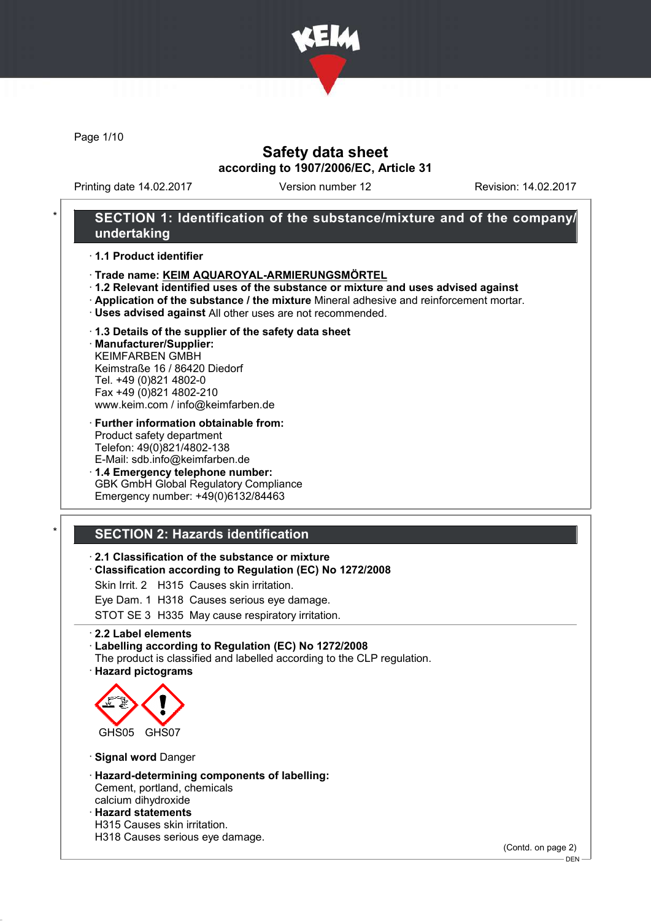

Page 1/10

# Safety data sheet according to 1907/2006/EC, Article 31

Printing date 14.02.2017 Version number 12 Revision: 14.02.2017

## SECTION 1: Identification of the substance/mixture and of the company/ undertaking

#### · 1.1 Product identifier

- · Trade name: KEIM AQUAROYAL-ARMIERUNGSMÖRTEL
- · 1.2 Relevant identified uses of the substance or mixture and uses advised against
- · Application of the substance / the mixture Mineral adhesive and reinforcement mortar.
- · Uses advised against All other uses are not recommended.
- · 1.3 Details of the supplier of the safety data sheet

· Manufacturer/Supplier: KEIMFARBEN GMBH Keimstraße 16 / 86420 Diedorf Tel. +49 (0)821 4802-0 Fax +49 (0)821 4802-210 www.keim.com / info@keimfarben.de

· Further information obtainable from: Product safety department Telefon: 49(0)821/4802-138

E-Mail: sdb.info@keimfarben.de · 1.4 Emergency telephone number: GBK GmbH Global Regulatory Compliance Emergency number: +49(0)6132/84463

# **SECTION 2: Hazards identification**

### · 2.1 Classification of the substance or mixture

· Classification according to Regulation (EC) No 1272/2008

Skin Irrit. 2 H315 Causes skin irritation.

Eye Dam. 1 H318 Causes serious eye damage.

STOT SE 3 H335 May cause respiratory irritation.

· 2.2 Label elements

#### · Labelling according to Regulation (EC) No 1272/2008

The product is classified and labelled according to the CLP regulation. · Hazard pictograms



· Signal word Danger

- · Hazard-determining components of labelling: Cement, portland, chemicals calcium dihydroxide
- · Hazard statements
- H315 Causes skin irritation.
- H318 Causes serious eye damage.

(Contd. on page 2)

<sup>-</sup> DEN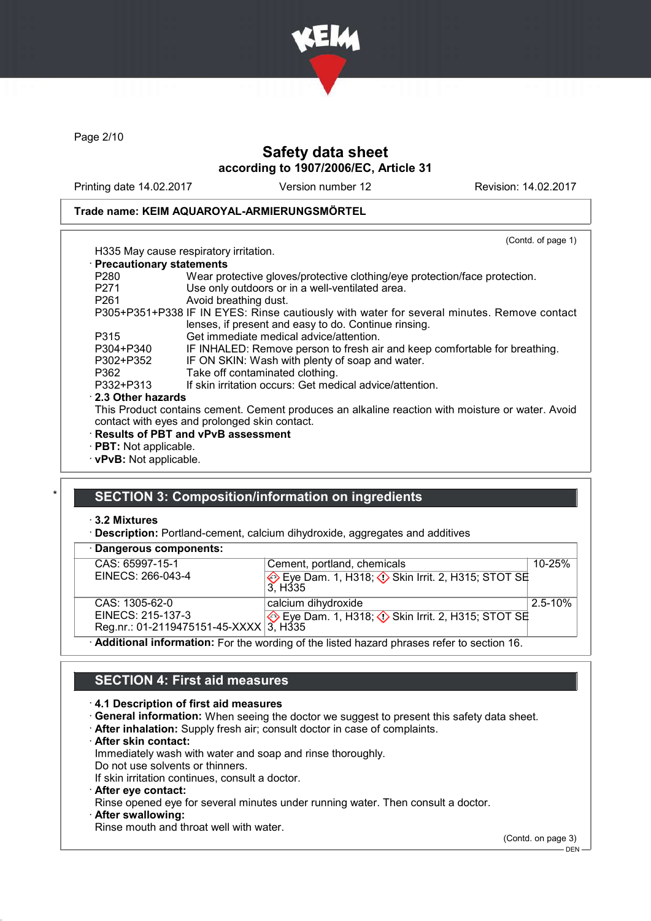

Page 2/10

# Safety data sheet according to 1907/2006/EC, Article 31

Printing date 14.02.2017 Version number 12 Revision: 14.02.2017

(Contd. of page 1)

## Trade name: KEIM AQUAROYAL-ARMIERUNGSMÖRTEL

| H335 May cause respiratory irritation. |
|----------------------------------------|

| · Precautionary statements |                                                                                                  |
|----------------------------|--------------------------------------------------------------------------------------------------|
| P <sub>280</sub>           | Wear protective gloves/protective clothing/eye protection/face protection.                       |
| P <sub>271</sub>           | Use only outdoors or in a well-ventilated area.                                                  |
| P <sub>261</sub>           | Avoid breathing dust.                                                                            |
|                            | P305+P351+P338 IF IN EYES: Rinse cautiously with water for several minutes. Remove contact       |
|                            | lenses, if present and easy to do. Continue rinsing.                                             |
| P315                       | Get immediate medical advice/attention.                                                          |
| P304+P340                  | IF INHALED: Remove person to fresh air and keep comfortable for breathing.                       |
| P302+P352                  | IF ON SKIN: Wash with plenty of soap and water.                                                  |
| P362                       | Take off contaminated clothing.                                                                  |
| P332+P313                  | If skin irritation occurs: Get medical advice/attention.                                         |
| 2.3 Other hazards          |                                                                                                  |
|                            | This Product contains cement. Cement produces an alkaline reaction with moisture or water. Avoid |
|                            | contact with eyes and prolonged skin contact.                                                    |
|                            | · Results of PBT and vPvB assessment                                                             |

- · PBT: Not applicable.
- · vPvB: Not applicable.

# SECTION 3: Composition/information on ingredients

#### · 3.2 Mixtures

· Description: Portland-cement, calcium dihydroxide, aggregates and additives

| · Dangerous components:                |                                                                                             |              |
|----------------------------------------|---------------------------------------------------------------------------------------------|--------------|
| CAS: 65997-15-1                        | Cement, portland, chemicals                                                                 | $10 - 25%$   |
| EINECS: 266-043-4                      | Eye Dam. 1, H318; $\Diamond$ Skin Irrit. 2, H315; STOT SE<br>3. H <sub>335</sub>            |              |
| CAS: 1305-62-0                         | calcium dihydroxide                                                                         | $2.5 - 10\%$ |
| EINECS: 215-137-3                      | Eye Dam. 1, H318; $\Diamond$ Skin Irrit. 2, H315; STOT SE                                   |              |
| Reg.nr.: 01-2119475151-45-XXXX 3, H335 |                                                                                             |              |
|                                        | · Additional information: For the wording of the listed hazard phrases refer to section 16. |              |

# SECTION 4: First aid measures

#### · 4.1 Description of first aid measures

- · General information: When seeing the doctor we suggest to present this safety data sheet.
- · After inhalation: Supply fresh air; consult doctor in case of complaints.
- · After skin contact:

Immediately wash with water and soap and rinse thoroughly.

Do not use solvents or thinners. If skin irritation continues, consult a doctor.

- 
- · After eye contact:

Rinse opened eye for several minutes under running water. Then consult a doctor.

After swallowing:

Rinse mouth and throat well with water.

(Contd. on page 3)

 $-$  DEN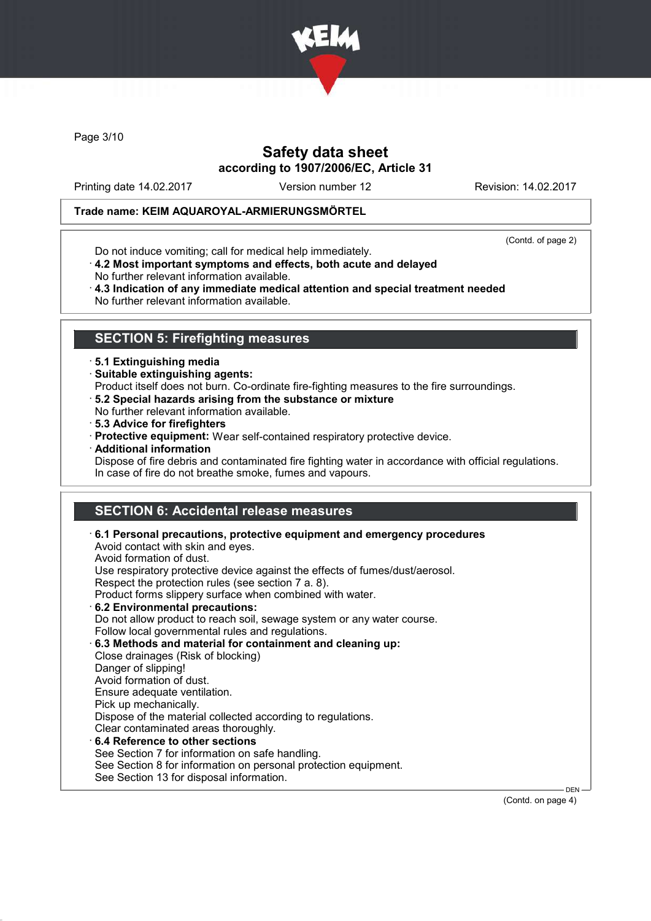

Page 3/10

# Safety data sheet according to 1907/2006/EC, Article 31

Printing date 14.02.2017 Version number 12 Revision: 14.02.2017

## Trade name: KEIM AQUAROYAL-ARMIERUNGSMÖRTEL

Do not induce vomiting; call for medical help immediately.

(Contd. of page 2)

- · 4.2 Most important symptoms and effects, both acute and delayed
- No further relevant information available.
- · 4.3 Indication of any immediate medical attention and special treatment needed No further relevant information available.

# SECTION 5: Firefighting measures

- · 5.1 Extinguishing media
- · Suitable extinguishing agents:
- Product itself does not burn. Co-ordinate fire-fighting measures to the fire surroundings.
- · 5.2 Special hazards arising from the substance or mixture
- No further relevant information available.
- · 5.3 Advice for firefighters
- · Protective equipment: Wear self-contained respiratory protective device.
- · Additional information
- Dispose of fire debris and contaminated fire fighting water in accordance with official regulations. In case of fire do not breathe smoke, fumes and vapours.

# SECTION 6: Accidental release measures

| $\cdot$ 6.1 Personal precautions, protective equipment and emergency procedures<br>Avoid contact with skin and eyes.<br>Avoid formation of dust. |
|--------------------------------------------------------------------------------------------------------------------------------------------------|
| Use respiratory protective device against the effects of fumes/dust/aerosol.                                                                     |
| Respect the protection rules (see section 7 a. 8).                                                                                               |
| Product forms slippery surface when combined with water.                                                                                         |
| 6.2 Environmental precautions:                                                                                                                   |
| Do not allow product to reach soil, sewage system or any water course.                                                                           |
| Follow local governmental rules and regulations.                                                                                                 |
| 6.3 Methods and material for containment and cleaning up:                                                                                        |
| Close drainages (Risk of blocking)                                                                                                               |
| Danger of slipping!                                                                                                                              |
| Avoid formation of dust.                                                                                                                         |
| Ensure adequate ventilation.                                                                                                                     |
| Pick up mechanically.                                                                                                                            |
| Dispose of the material collected according to regulations.                                                                                      |
| Clear contaminated areas thoroughly.                                                                                                             |
| 6.4 Reference to other sections                                                                                                                  |
| See Section 7 for information on safe handling.                                                                                                  |
| See Section 8 for information on personal protection equipment.                                                                                  |
| See Section 13 for disposal information.                                                                                                         |

(Contd. on page 4)

DEN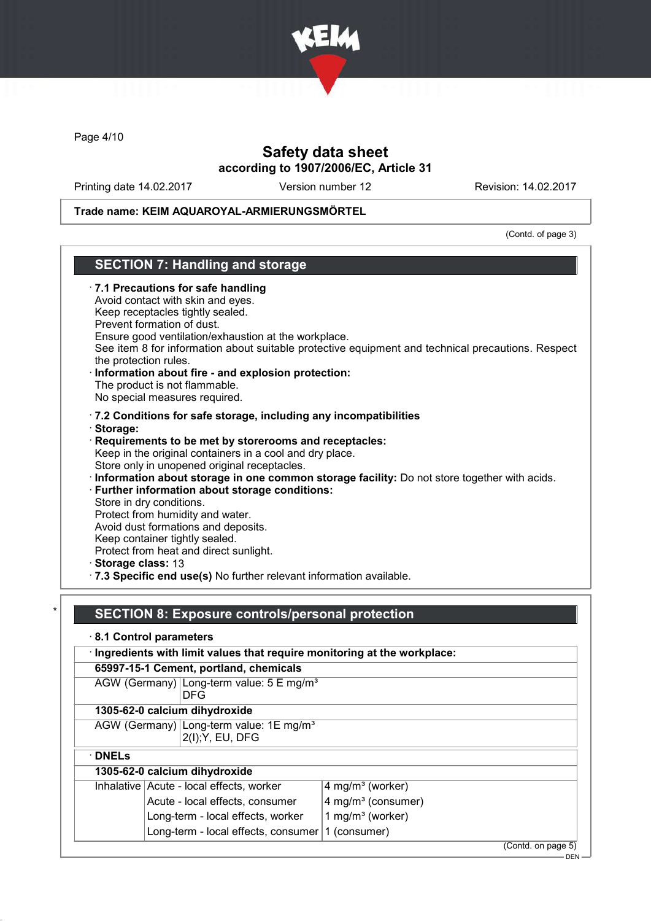

Page 4/10

# Safety data sheet according to 1907/2006/EC, Article 31

Printing date 14.02.2017 Version number 12 Revision: 14.02.2017

## Trade name: KEIM AQUAROYAL-ARMIERUNGSMÖRTEL

(Contd. of page 3)

# SECTION 7: Handling and storage

| $\cdot$ 7.1 Precautions for safe handling<br>Avoid contact with skin and eyes.<br>Keep receptacles tightly sealed.<br>Prevent formation of dust.<br>Ensure good ventilation/exhaustion at the workplace.<br>See item 8 for information about suitable protective equipment and technical precautions. Respect<br>the protection rules.<br>Information about fire - and explosion protection:<br>The product is not flammable.<br>No special measures required.                                                                                                                                                                                                                        |
|---------------------------------------------------------------------------------------------------------------------------------------------------------------------------------------------------------------------------------------------------------------------------------------------------------------------------------------------------------------------------------------------------------------------------------------------------------------------------------------------------------------------------------------------------------------------------------------------------------------------------------------------------------------------------------------|
| .7.2 Conditions for safe storage, including any incompatibilities<br>· Storage:<br>Requirements to be met by storerooms and receptacles:<br>Keep in the original containers in a cool and dry place.<br>Store only in unopened original receptacles.<br>· Information about storage in one common storage facility: Do not store together with acids.<br>Further information about storage conditions:<br>Store in dry conditions.<br>Protect from humidity and water.<br>Avoid dust formations and deposits.<br>Keep container tightly sealed.<br>Protect from heat and direct sunlight.<br>Storage class: 13<br>.7.3 Specific end use(s) No further relevant information available. |
| <b>SECTION 8: Exposure controls/personal protection</b><br>8.1 Control parameters<br>Ingredients with limit values that require monitoring at the workplace:<br>65997-15-1 Cement, portland, chemicals<br>AGW (Germany) Long-term value: 5 E mg/m <sup>3</sup><br><b>DFG</b><br>1305-62-0 calcium dihydroxide                                                                                                                                                                                                                                                                                                                                                                         |
|                                                                                                                                                                                                                                                                                                                                                                                                                                                                                                                                                                                                                                                                                       |

AGW (Germany) Long-term value: 1E mg/m<sup>s</sup> 2(I);Y, EU, DFG

· DNELs

# 1305-62-0 calcium dihydroxide

| Inhalative Acute - local effects, worker           | $4$ mg/m <sup>3</sup> (worker)   |
|----------------------------------------------------|----------------------------------|
| Acute - local effects, consumer                    | $4$ mg/m <sup>3</sup> (consumer) |
| Long-term - local effects, worker                  | 1 mg/m <sup>3</sup> (worker)     |
| Long-term - local effects, consumer   1 (consumer) |                                  |
|                                                    | $\sim$ $\sim$ $\sim$ $\sim$      |

(Contd. on page 5)

<sup>.&</sup>lt;br>- DEN -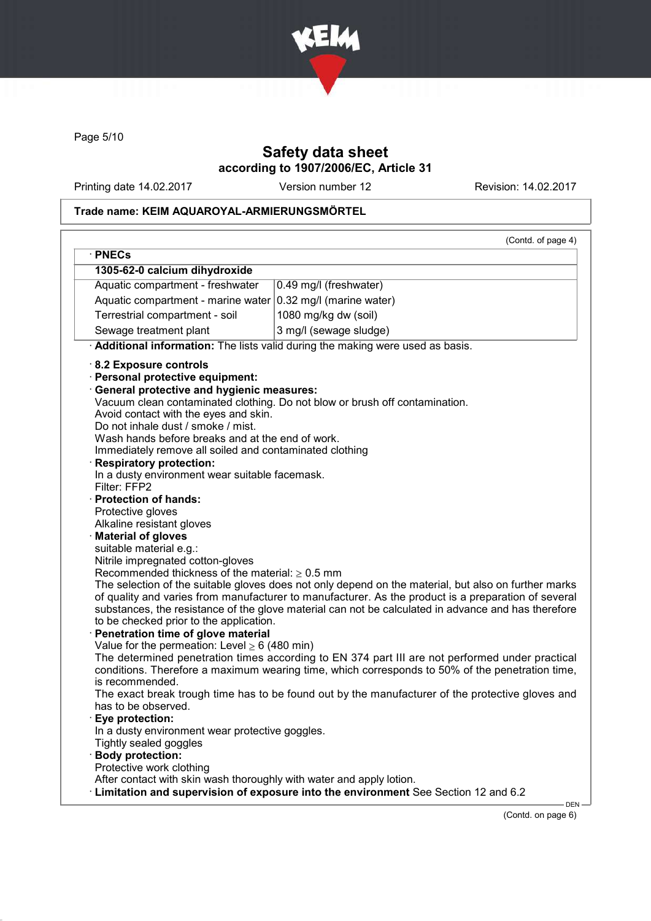

Page 5/10

# Safety data sheet according to 1907/2006/EC, Article 31

Printing date 14.02.2017 Version number 12 Revision: 14.02.2017

## Trade name: KEIM AQUAROYAL-ARMIERUNGSMÖRTEL

| · PNECs                                                                                          |                                                                                                                                                                                                            |
|--------------------------------------------------------------------------------------------------|------------------------------------------------------------------------------------------------------------------------------------------------------------------------------------------------------------|
| 1305-62-0 calcium dihydroxide                                                                    |                                                                                                                                                                                                            |
| Aquatic compartment - freshwater                                                                 | 0.49 mg/l (freshwater)                                                                                                                                                                                     |
| Aquatic compartment - marine water                                                               | 0.32 mg/l (marine water)                                                                                                                                                                                   |
| Terrestrial compartment - soil                                                                   | 1080 mg/kg dw (soil)                                                                                                                                                                                       |
| Sewage treatment plant                                                                           | 3 mg/l (sewage sludge)                                                                                                                                                                                     |
|                                                                                                  | Additional information: The lists valid during the making were used as basis.                                                                                                                              |
| 8.2 Exposure controls                                                                            |                                                                                                                                                                                                            |
| · Personal protective equipment:                                                                 |                                                                                                                                                                                                            |
| <b>General protective and hygienic measures:</b>                                                 |                                                                                                                                                                                                            |
|                                                                                                  | Vacuum clean contaminated clothing. Do not blow or brush off contamination.                                                                                                                                |
| Avoid contact with the eyes and skin.                                                            |                                                                                                                                                                                                            |
| Do not inhale dust / smoke / mist.                                                               |                                                                                                                                                                                                            |
| Wash hands before breaks and at the end of work.                                                 |                                                                                                                                                                                                            |
| Immediately remove all soiled and contaminated clothing                                          |                                                                                                                                                                                                            |
| <b>Respiratory protection:</b>                                                                   |                                                                                                                                                                                                            |
| In a dusty environment wear suitable facemask.<br>Filter: FFP2                                   |                                                                                                                                                                                                            |
| · Protection of hands:                                                                           |                                                                                                                                                                                                            |
| Protective gloves                                                                                |                                                                                                                                                                                                            |
| Alkaline resistant gloves                                                                        |                                                                                                                                                                                                            |
| <b>Material of gloves</b>                                                                        |                                                                                                                                                                                                            |
| suitable material e.g.:                                                                          |                                                                                                                                                                                                            |
| Nitrile impregnated cotton-gloves                                                                |                                                                                                                                                                                                            |
| Recommended thickness of the material: $\geq 0.5$ mm                                             |                                                                                                                                                                                                            |
|                                                                                                  | The selection of the suitable gloves does not only depend on the material, but also on further marks                                                                                                       |
|                                                                                                  | of quality and varies from manufacturer to manufacturer. As the product is a preparation of several<br>substances, the resistance of the glove material can not be calculated in advance and has therefore |
| to be checked prior to the application.                                                          |                                                                                                                                                                                                            |
| Penetration time of glove material                                                               |                                                                                                                                                                                                            |
| Value for the permeation: Level $\geq 6$ (480 min)                                               |                                                                                                                                                                                                            |
|                                                                                                  | The determined penetration times according to EN 374 part III are not performed under practical                                                                                                            |
|                                                                                                  | conditions. Therefore a maximum wearing time, which corresponds to 50% of the penetration time,                                                                                                            |
| is recommended.                                                                                  |                                                                                                                                                                                                            |
|                                                                                                  | The exact break trough time has to be found out by the manufacturer of the protective gloves and                                                                                                           |
| has to be observed.                                                                              |                                                                                                                                                                                                            |
| Eye protection:                                                                                  |                                                                                                                                                                                                            |
| In a dusty environment wear protective goggles.                                                  |                                                                                                                                                                                                            |
| Tightly sealed goggles<br><b>Body protection:</b>                                                |                                                                                                                                                                                                            |
|                                                                                                  |                                                                                                                                                                                                            |
|                                                                                                  |                                                                                                                                                                                                            |
| Protective work clothing<br>After contact with skin wash thoroughly with water and apply lotion. |                                                                                                                                                                                                            |

(Contd. on page 6)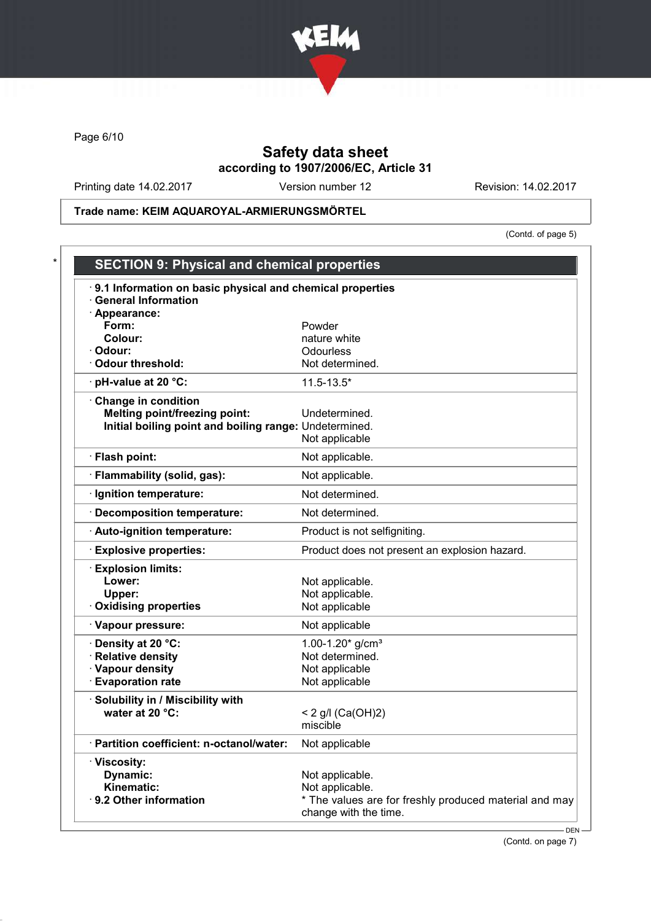

Page 6/10

# Safety data sheet according to 1907/2006/EC, Article 31

Printing date 14.02.2017 Version number 12 Revision: 14.02.2017

Trade name: KEIM AQUAROYAL-ARMIERUNGSMÖRTEL

(Contd. of page 5)

| 9.1 Information on basic physical and chemical properties<br><b>General Information</b> |                                                        |
|-----------------------------------------------------------------------------------------|--------------------------------------------------------|
| · Appearance:                                                                           |                                                        |
| Form:                                                                                   | Powder                                                 |
| Colour:                                                                                 | nature white                                           |
| · Odour:                                                                                | Odourless                                              |
| <b>Odour threshold:</b>                                                                 | Not determined.                                        |
| pH-value at 20 °C:                                                                      | $11.5 - 13.5*$                                         |
| Change in condition                                                                     |                                                        |
| <b>Melting point/freezing point:</b>                                                    | Undetermined.                                          |
| Initial boiling point and boiling range: Undetermined.                                  |                                                        |
|                                                                                         | Not applicable                                         |
| · Flash point:                                                                          | Not applicable.                                        |
| · Flammability (solid, gas):                                                            | Not applicable.                                        |
| · Ignition temperature:                                                                 | Not determined.                                        |
| · Decomposition temperature:                                                            | Not determined.                                        |
| · Auto-ignition temperature:                                                            | Product is not selfigniting.                           |
| <b>Explosive properties:</b>                                                            | Product does not present an explosion hazard.          |
| <b>Explosion limits:</b>                                                                |                                                        |
| Lower:                                                                                  | Not applicable.                                        |
| Upper:                                                                                  | Not applicable.                                        |
| <b>Oxidising properties</b>                                                             | Not applicable                                         |
| · Vapour pressure:                                                                      | Not applicable                                         |
| · Density at 20 °C:                                                                     | 1.00-1.20 $*$ g/cm <sup>3</sup>                        |
| · Relative density                                                                      | Not determined.                                        |
| · Vapour density                                                                        | Not applicable                                         |
| <b>Evaporation rate</b>                                                                 | Not applicable                                         |
| · Solubility in / Miscibility with                                                      |                                                        |
| water at 20 °C:                                                                         | < 2 g/l $(Ca(OH)2)$                                    |
|                                                                                         | miscible                                               |
| · Partition coefficient: n-octanol/water:                                               | Not applicable                                         |
| · Viscosity:                                                                            |                                                        |
| Dynamic:                                                                                | Not applicable.                                        |
| Kinematic:                                                                              | Not applicable.                                        |
| 9.2 Other information                                                                   | * The values are for freshly produced material and may |

(Contd. on page 7)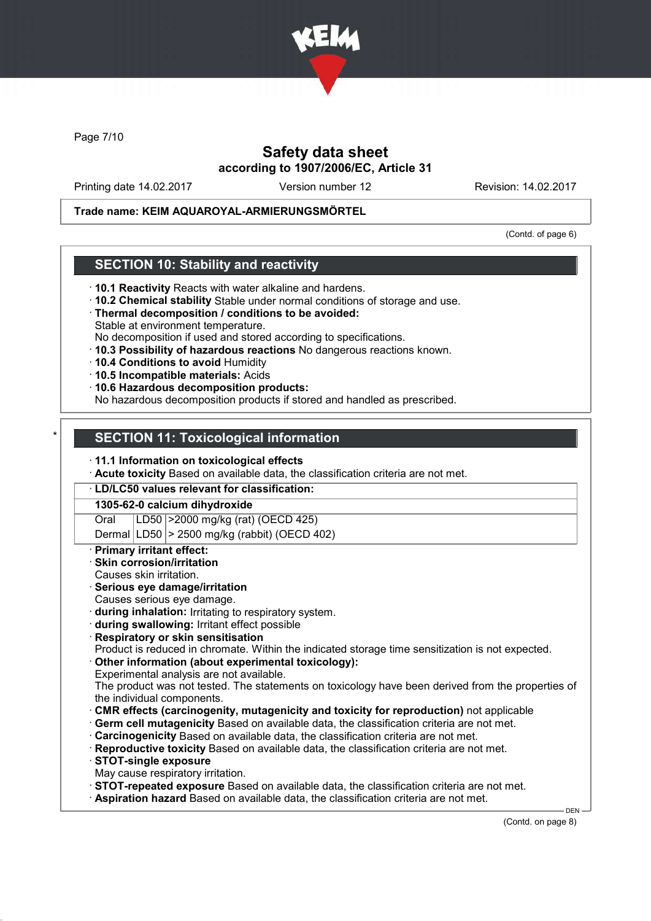

Page 7/10

# Safety data sheet according to 1907/2006/EC, Article 31

Printing date 14.02.2017 Version number 12 Revision: 14.02.2017

### Trade name: KEIM AQUAROYAL-ARMIERUNGSMÖRTEL

(Contd. of page 6)

## SECTION 10: Stability and reactivity

- · 10.1 Reactivity Reacts with water alkaline and hardens.
- · 10.2 Chemical stability Stable under normal conditions of storage and use.
- · Thermal decomposition / conditions to be avoided: Stable at environment temperature.
- No decomposition if used and stored according to specifications.
- · 10.3 Possibility of hazardous reactions No dangerous reactions known.
- · 10.4 Conditions to avoid Humidity
- · 10.5 Incompatible materials: Acids
- · 10.6 Hazardous decomposition products:

No hazardous decomposition products if stored and handled as prescribed.

## **SECTION 11: Toxicological information**

#### · 11.1 Information on toxicological effects

· Acute toxicity Based on available data, the classification criteria are not met.

#### · LD/LC50 values relevant for classification:

#### 1305-62-0 calcium dihydroxide

Oral LD50 >2000 mg/kg (rat) (OECD 425)

Dermal LD50  $\geq$  2500 mg/kg (rabbit) (OECD 402)

#### **Primary irritant effect:**

- Skin corrosion/irritation
- Causes skin irritation.

#### Serious eye damage/irritation

- Causes serious eye damage.
- · during inhalation: Irritating to respiratory system.
- · during swallowing: Irritant effect possible
- **Respiratory or skin sensitisation**
- Product is reduced in chromate. Within the indicated storage time sensitization is not expected.
- Other information (about experimental toxicology):
- Experimental analysis are not available.
- The product was not tested. The statements on toxicology have been derived from the properties of the individual components.
- · CMR effects (carcinogenity, mutagenicity and toxicity for reproduction) not applicable
- Germ cell mutagenicity Based on available data, the classification criteria are not met.
- · Carcinogenicity Based on available data, the classification criteria are not met.
- · Reproductive toxicity Based on available data, the classification criteria are not met.
- · STOT-single exposure
- May cause respiratory irritation.
- · STOT-repeated exposure Based on available data, the classification criteria are not met.
- · Aspiration hazard Based on available data, the classification criteria are not met.

DEN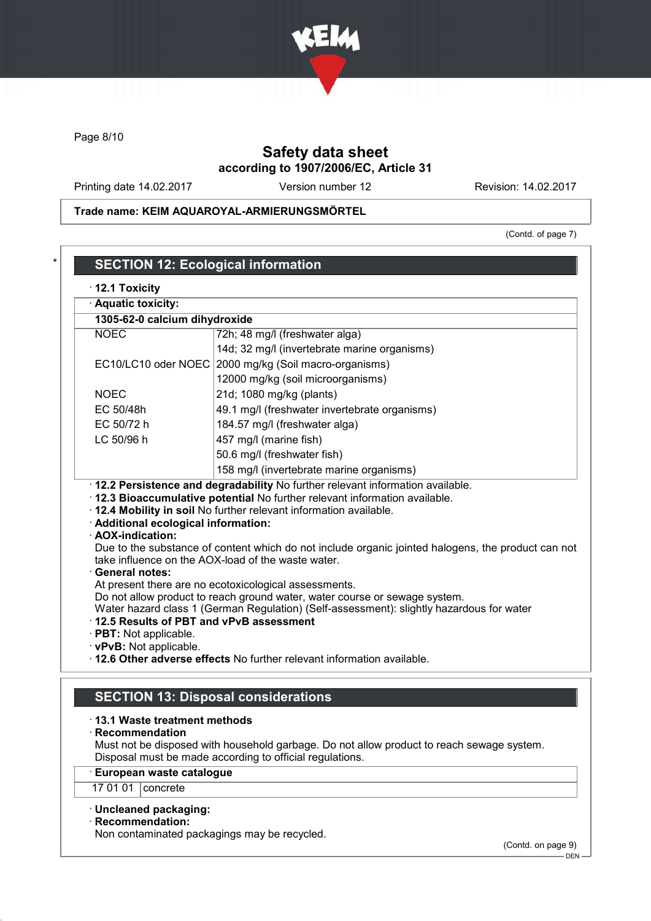

Page 8/10

# Safety data sheet according to 1907/2006/EC, Article 31

Printing date 14.02.2017 Version number 12 Revision: 14.02.2017

Trade name: KEIM AQUAROYAL-ARMIERUNGSMÖRTEL

(Contd. of page 7)

| 1305-62-0 calcium dihydroxide                                                                                                |                                                                                                                                                                                                                                                                                                                                                                                        |
|------------------------------------------------------------------------------------------------------------------------------|----------------------------------------------------------------------------------------------------------------------------------------------------------------------------------------------------------------------------------------------------------------------------------------------------------------------------------------------------------------------------------------|
| <b>NOEC</b>                                                                                                                  | 72h; 48 mg/l (freshwater alga)                                                                                                                                                                                                                                                                                                                                                         |
|                                                                                                                              | 14d; 32 mg/l (invertebrate marine organisms)                                                                                                                                                                                                                                                                                                                                           |
| EC10/LC10 oder NOEC                                                                                                          | 2000 mg/kg (Soil macro-organisms)                                                                                                                                                                                                                                                                                                                                                      |
|                                                                                                                              | 12000 mg/kg (soil microorganisms)                                                                                                                                                                                                                                                                                                                                                      |
| <b>NOEC</b>                                                                                                                  | 21d; 1080 mg/kg (plants)                                                                                                                                                                                                                                                                                                                                                               |
| EC 50/48h                                                                                                                    | 49.1 mg/l (freshwater invertebrate organisms)                                                                                                                                                                                                                                                                                                                                          |
| EC 50/72 h                                                                                                                   | 184.57 mg/l (freshwater alga)                                                                                                                                                                                                                                                                                                                                                          |
| LC 50/96 h                                                                                                                   | 457 mg/l (marine fish)                                                                                                                                                                                                                                                                                                                                                                 |
|                                                                                                                              | 50.6 mg/l (freshwater fish)                                                                                                                                                                                                                                                                                                                                                            |
|                                                                                                                              |                                                                                                                                                                                                                                                                                                                                                                                        |
| · Additional ecological information:<br>· AOX-indication:                                                                    | 158 mg/l (invertebrate marine organisms)<br>· 12.2 Persistence and degradability No further relevant information available.<br>· 12.3 Bioaccumulative potential No further relevant information available.<br>. 12.4 Mobility in soil No further relevant information available.<br>Due to the substance of content which do not include organic jointed halogens, the product can not |
| · General notes:<br>12.5 Results of PBT and vPvB assessment<br>$\cdot$ PBT: Not applicable.<br>$\cdot$ vPvB: Not applicable. | take influence on the AOX-load of the waste water.<br>At present there are no ecotoxicological assessments.<br>Do not allow product to reach ground water, water course or sewage system.<br>Water hazard class 1 (German Regulation) (Self-assessment): slightly hazardous for water                                                                                                  |

· European waste catalogue

17 01 01 | concrete

## · Uncleaned packaging:

· Recommendation:

Non contaminated packagings may be recycled.

(Contd. on page 9)

 $-$  DEN-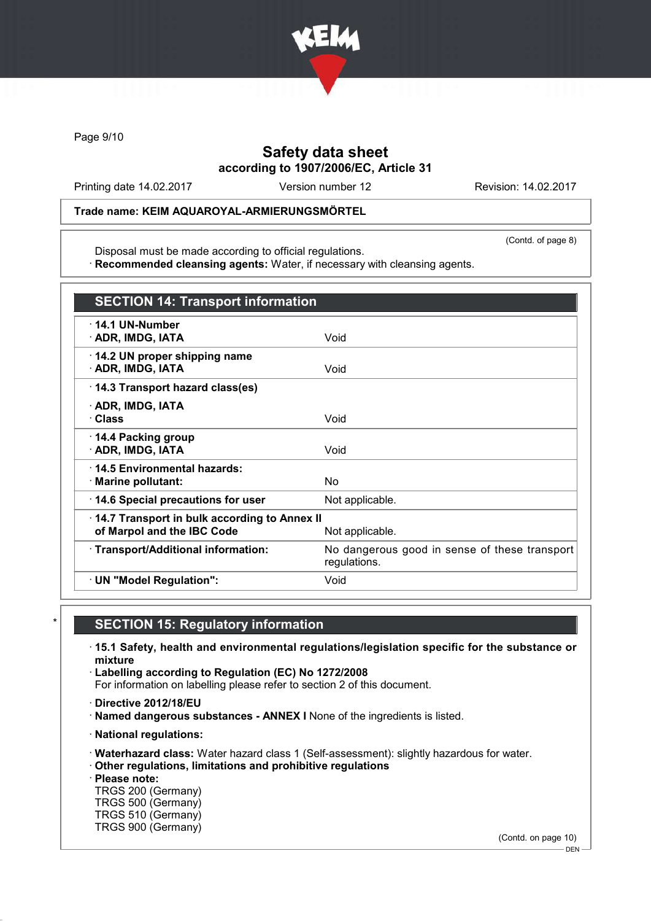

Page 9/10

# Safety data sheet according to 1907/2006/EC, Article 31

Printing date 14.02.2017 Version number 12 Revision: 14.02.2017

(Contd. of page 8)

## Trade name: KEIM AQUAROYAL-ARMIERUNGSMÖRTEL

Disposal must be made according to official regulations.

· Recommended cleansing agents: Water, if necessary with cleansing agents.

| <b>SECTION 14: Transport information</b>                                   |                                                               |
|----------------------------------------------------------------------------|---------------------------------------------------------------|
| $\cdot$ 14.1 UN-Number<br>· ADR, IMDG, IATA                                | Void                                                          |
| 14.2 UN proper shipping name<br>· ADR, IMDG, IATA                          | Void                                                          |
| 14.3 Transport hazard class(es)                                            |                                                               |
| · ADR, IMDG, IATA<br>· Class                                               | Void                                                          |
| ⋅ 14.4 Packing group<br>· ADR, IMDG, IATA                                  | Void                                                          |
| ⋅14.5 Environmental hazards:<br>· Marine pollutant:                        | No.                                                           |
| 14.6 Special precautions for user                                          | Not applicable.                                               |
| 14.7 Transport in bulk according to Annex II<br>of Marpol and the IBC Code | Not applicable.                                               |
| · Transport/Additional information:                                        | No dangerous good in sense of these transport<br>regulations. |
| · UN "Model Regulation":                                                   | Void                                                          |

# **SECTION 15: Regulatory information**

· 15.1 Safety, health and environmental regulations/legislation specific for the substance or mixture

- · Labelling according to Regulation (EC) No 1272/2008 For information on labelling please refer to section 2 of this document.
- · Directive 2012/18/EU
- · Named dangerous substances ANNEX I None of the ingredients is listed.
- · National regulations:
- · Waterhazard class: Water hazard class 1 (Self-assessment): slightly hazardous for water.
- · Other regulations, limitations and prohibitive regulations
- · Please note:

TRGS 200 (Germany) TRGS 500 (Germany) TRGS 510 (Germany) TRGS 900 (Germany)

(Contd. on page 10)